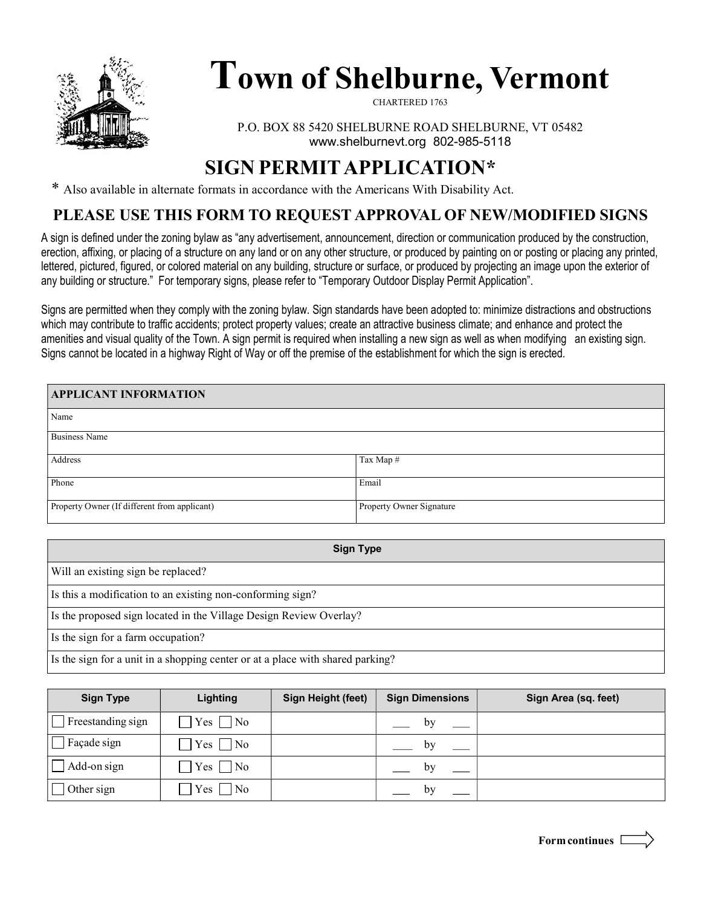

# Town of Shelburne, Vermont

CHARTERED 1763

P.O. BOX 88 5420 SHELBURNE ROAD SHELBURNE, VT 05482 www.shelburnevt.org 802-985-5118

## SIGN PERMIT APPLICATION\*

\* Also available in alternate formats in accordance with the Americans With Disability Act.

#### PLEASE USE THIS FORM TO REQUEST APPROVAL OF NEW/MODIFIED SIGNS

A sign is defined under the zoning bylaw as "any advertisement, announcement, direction or communication produced by the construction, erection, affixing, or placing of a structure on any land or on any other structure, or produced by painting on or posting or placing any printed, lettered, pictured, figured, or colored material on any building, structure or surface, or produced by projecting an image upon the exterior of any building or structure." For temporary signs, please refer to "Temporary Outdoor Display Permit Application".

Signs are permitted when they comply with the zoning bylaw. Sign standards have been adopted to: minimize distractions and obstructions which may contribute to traffic accidents; protect property values; create an attractive business climate; and enhance and protect the amenities and visual quality of the Town. A sign permit is required when installing a new sign as well as when modifying an existing sign. Signs cannot be located in a highway Right of Way or off the premise of the establishment for which the sign is erected.

| <b>APPLICANT INFORMATION</b>                 |                          |  |  |  |
|----------------------------------------------|--------------------------|--|--|--|
| Name                                         |                          |  |  |  |
| <b>Business Name</b>                         |                          |  |  |  |
| Address                                      | Tax Map #                |  |  |  |
| Phone                                        | Email                    |  |  |  |
| Property Owner (If different from applicant) | Property Owner Signature |  |  |  |

| <b>Sign Type</b>                                                               |  |
|--------------------------------------------------------------------------------|--|
| Will an existing sign be replaced?                                             |  |
| Is this a modification to an existing non-conforming sign?                     |  |
| Is the proposed sign located in the Village Design Review Overlay?             |  |
| Is the sign for a farm occupation?                                             |  |
| Is the sign for a unit in a shopping center or at a place with shared parking? |  |

| <b>Sign Type</b>         | <b>Lighting</b> | <b>Sign Height (feet)</b> | <b>Sign Dimensions</b> | Sign Area (sq. feet) |
|--------------------------|-----------------|---------------------------|------------------------|----------------------|
| $\Box$ Freestanding sign | $Yes \Box No$   |                           | by                     |                      |
| $ \Box$ Façade sign      | $Yes \Box No$   |                           | by                     |                      |
| $\Box$ Add-on sign       | $Yes \Box No$   |                           | by                     |                      |
| $\Box$ Other sign        | $Yes \Box No$   |                           | bv                     |                      |

Form continues